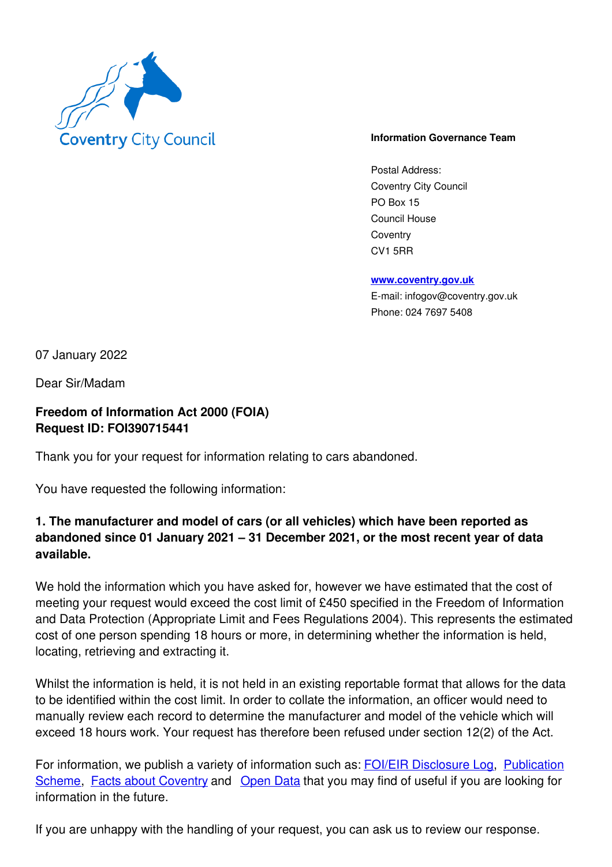

## **Information Governance Team**

Postal Address: Coventry City Council PO Box 15 Council House **Coventry** CV1 5RR

**www.coventry.gov.uk**

E-mail: infogov@coventry.gov.uk Phone: 024 7697 5408

07 January 2022

Dear Sir/Madam

## **Freedom of Information Act 2000 (FOIA) Request ID: FOI390715441**

Thank you for your request for information relating to cars abandoned.

You have requested the following information:

## **1. The manufacturer and model of cars (or all vehicles) which have been reported as abandoned since 01 January 2021 – 31 December 2021, or the most recent year of data available.**

We hold the information which you have asked for, however we have estimated that the cost of meeting your request would exceed the cost limit of £450 specified in the Freedom of Information and Data Protection (Appropriate Limit and Fees Regulations 2004). This represents the estimated cost of one person spending 18 hours or more, in determining whether the information is held, locating, retrieving and extracting it.

Whilst the information is held, it is not held in an existing reportable format that allows for the data to be identified within the cost limit. In order to collate the information, an officer would need to manually review each record to determine the manufacturer and model of the vehicle which will exceed 18 hours work. Your request has therefore been refused under section 12(2) of the Act.

For information, we publish a variety of information such as: FOI/EIR Disclosure Log, Publication Scheme, Facts about Coventry and Open Data that you may find of useful if you are looking for information in the future.

If you are unhappy with the handling of your request, you can ask us to review our response.